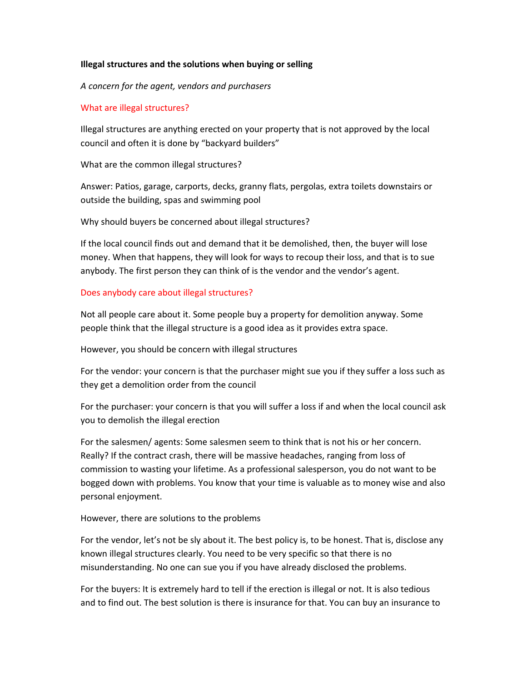## **Illegal structures and the solutions when buying or selling**

*A concern for the agent, vendors and purchasers*

## What are illegal structures?

Illegal structures are anything erected on your property that is not approved by the local council and often it is done by "backyard builders"

What are the common illegal structures?

Answer: Patios, garage, carports, decks, granny flats, pergolas, extra toilets downstairs or outside the building, spas and swimming pool

Why should buyers be concerned about illegal structures?

If the local council finds out and demand that it be demolished, then, the buyer will lose money. When that happens, they will look for ways to recoup their loss, and that is to sue anybody. The first person they can think of is the vendor and the vendor's agent.

## Does anybody care about illegal structures?

Not all people care about it. Some people buy a property for demolition anyway. Some people think that the illegal structure is a good idea as it provides extra space.

However, you should be concern with illegal structures

For the vendor: your concern is that the purchaser might sue you if they suffer a loss such as they get a demolition order from the council

For the purchaser: your concern is that you will suffer a loss if and when the local council ask you to demolish the illegal erection

For the salesmen/ agents: Some salesmen seem to think that is not his or her concern. Really? If the contract crash, there will be massive headaches, ranging from loss of commission to wasting your lifetime. As a professional salesperson, you do not want to be bogged down with problems. You know that your time is valuable as to money wise and also personal enjoyment.

## However, there are solutions to the problems

For the vendor, let's not be sly about it. The best policy is, to be honest. That is, disclose any known illegal structures clearly. You need to be very specific so that there is no misunderstanding. No one can sue you if you have already disclosed the problems.

For the buyers: It is extremely hard to tell if the erection is illegal or not. It is also tedious and to find out. The best solution is there is insurance for that. You can buy an insurance to